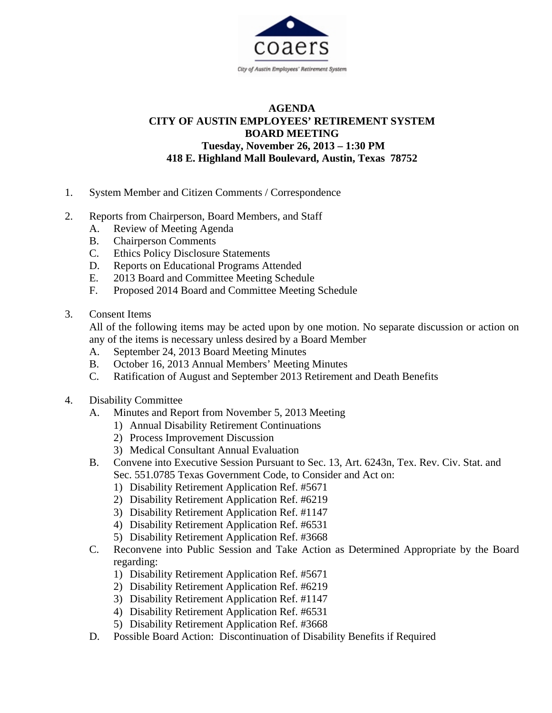

## **AGENDA CITY OF AUSTIN EMPLOYEES' RETIREMENT SYSTEM BOARD MEETING Tuesday, November 26, 2013 – 1:30 PM 418 E. Highland Mall Boulevard, Austin, Texas 78752**

- 1. System Member and Citizen Comments / Correspondence
- 2. Reports from Chairperson, Board Members, and Staff
	- A. Review of Meeting Agenda
	- B. Chairperson Comments
	- C. Ethics Policy Disclosure Statements
	- D. Reports on Educational Programs Attended
	- E. 2013 Board and Committee Meeting Schedule
	- F. Proposed 2014 Board and Committee Meeting Schedule
- 3. Consent Items

All of the following items may be acted upon by one motion. No separate discussion or action on any of the items is necessary unless desired by a Board Member

- A. September 24, 2013 Board Meeting Minutes
- B. October 16, 2013 Annual Members' Meeting Minutes
- C. Ratification of August and September 2013 Retirement and Death Benefits
- 4. Disability Committee
	- A. Minutes and Report from November 5, 2013 Meeting
		- 1) Annual Disability Retirement Continuations
		- 2) Process Improvement Discussion
		- 3) Medical Consultant Annual Evaluation
	- B. Convene into Executive Session Pursuant to Sec. 13, Art. 6243n, Tex. Rev. Civ. Stat. and Sec. 551.0785 Texas Government Code, to Consider and Act on:
		- 1) Disability Retirement Application Ref. #5671
		- 2) Disability Retirement Application Ref. #6219
		- 3) Disability Retirement Application Ref. #1147
		- 4) Disability Retirement Application Ref. #6531
		- 5) Disability Retirement Application Ref. #3668
	- C. Reconvene into Public Session and Take Action as Determined Appropriate by the Board regarding:
		- 1) Disability Retirement Application Ref. #5671
		- 2) Disability Retirement Application Ref. #6219
		- 3) Disability Retirement Application Ref. #1147
		- 4) Disability Retirement Application Ref. #6531
		- 5) Disability Retirement Application Ref. #3668
	- D. Possible Board Action: Discontinuation of Disability Benefits if Required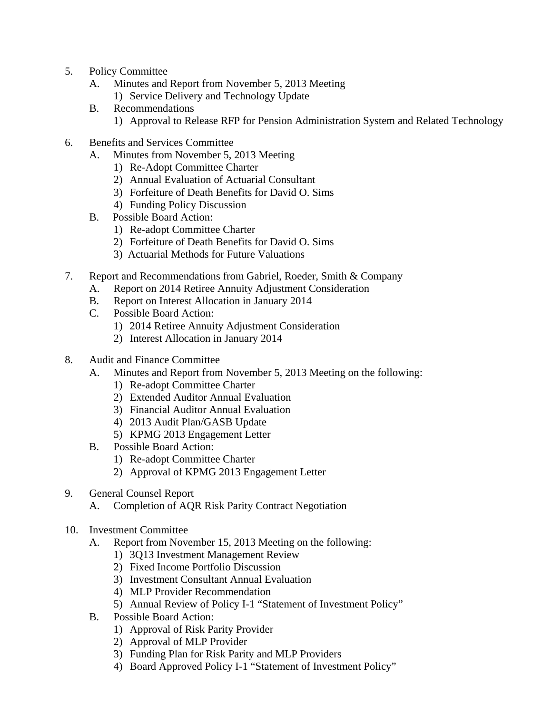- 5. Policy Committee
	- A. Minutes and Report from November 5, 2013 Meeting
		- 1) Service Delivery and Technology Update
	- B. Recommendations
		- 1) Approval to Release RFP for Pension Administration System and Related Technology
- 6. Benefits and Services Committee
	- A. Minutes from November 5, 2013 Meeting
		- 1) Re-Adopt Committee Charter
		- 2) Annual Evaluation of Actuarial Consultant
		- 3) Forfeiture of Death Benefits for David O. Sims
		- 4) Funding Policy Discussion
	- B. Possible Board Action:
		- 1) Re-adopt Committee Charter
		- 2) Forfeiture of Death Benefits for David O. Sims
		- 3) Actuarial Methods for Future Valuations
- 7. Report and Recommendations from Gabriel, Roeder, Smith & Company
	- A. Report on 2014 Retiree Annuity Adjustment Consideration
	- B. Report on Interest Allocation in January 2014
	- C. Possible Board Action:
		- 1) 2014 Retiree Annuity Adjustment Consideration
		- 2) Interest Allocation in January 2014
- 8. Audit and Finance Committee
	- A. Minutes and Report from November 5, 2013 Meeting on the following:
		- 1) Re-adopt Committee Charter
		- 2) Extended Auditor Annual Evaluation
		- 3) Financial Auditor Annual Evaluation
		- 4) 2013 Audit Plan/GASB Update
		- 5) KPMG 2013 Engagement Letter
	- B. Possible Board Action:
		- 1) Re-adopt Committee Charter
		- 2) Approval of KPMG 2013 Engagement Letter
- 9. General Counsel Report
	- A. Completion of AQR Risk Parity Contract Negotiation
- 10. Investment Committee
	- A. Report from November 15, 2013 Meeting on the following:
		- 1) 3Q13 Investment Management Review
		- 2) Fixed Income Portfolio Discussion
		- 3) Investment Consultant Annual Evaluation
		- 4) MLP Provider Recommendation
		- 5) Annual Review of Policy I-1 "Statement of Investment Policy"
	- B. Possible Board Action:
		- 1) Approval of Risk Parity Provider
		- 2) Approval of MLP Provider
		- 3) Funding Plan for Risk Parity and MLP Providers
		- 4) Board Approved Policy I-1 "Statement of Investment Policy"